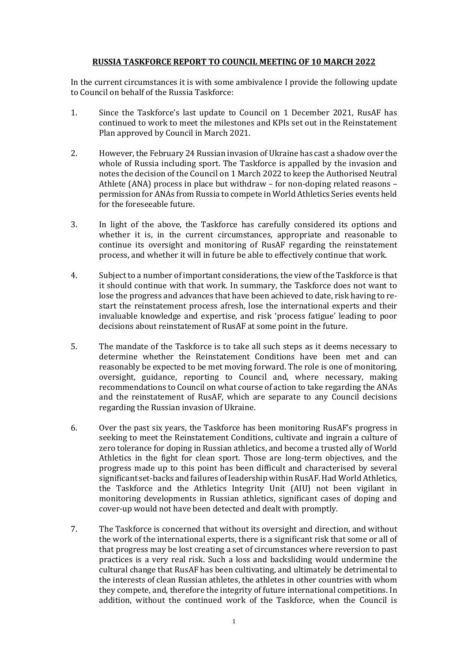## **RUSSIA TASKFORCE REPORT TO COUNCIL MEETING OF 10 MARCH 2022**

In the current circumstances it is with some ambivalence I provide the following update to Council on behalf of the Russia Taskforce:

- 1. Since the Taskforce's last update to Council on 1 December 2021, RusAF has continued to work to meet the milestones and KPIs set out in the Reinstatement Plan approved by Council in March 2021.
- 2. However, the February 24 Russian invasion of Ukraine has cast a shadow over the whole of Russia including sport. The Taskforce is appalled by the invasion and notes the decision of the Council on 1 March 2022 to keep the Authorised Neutral Athlete (ANA) process in place but withdraw – for non-doping related reasons – permission for ANAs from Russia to compete in World Athletics Series events held for the foreseeable future.
- 3. In light of the above, the Taskforce has carefully considered its options and whether it is, in the current circumstances, appropriate and reasonable to continue its oversight and monitoring of RusAF regarding the reinstatement process, and whether it will in future be able to effectively continue that work.
- 4. Subject to a number of important considerations, the view of the Taskforce is that it should continue with that work. In summary, the Taskforce does not want to lose the progress and advances that have been achieved to date, risk having to restart the reinstatement process afresh, lose the international experts and their invaluable knowledge and expertise, and risk 'process fatigue' leading to poor decisions about reinstatement of RusAF at some point in the future.
- 5. The mandate of the Taskforce is to take all such steps as it deems necessary to determine whether the Reinstatement Conditions have been met and can reasonably be expected to be met moving forward. The role is one of monitoring, oversight, guidance, reporting to Council and, where necessary, making recommendations to Council on what course of action to take regarding the ANAs and the reinstatement of RusAF, which are separate to any Council decisions regarding the Russian invasion of Ukraine.
- 6. Over the past six years, the Taskforce has been monitoring RusAF's progress in seeking to meet the Reinstatement Conditions, cultivate and ingrain a culture of zero tolerance for doping in Russian athletics, and become a trusted ally of World Athletics in the fight for clean sport. Those are long-term objectives, and the progress made up to this point has been difficult and characterised by several significant set-backs and failures of leadership within RusAF. Had World Athletics, the Taskforce and the Athletics Integrity Unit (AIU) not been vigilant in monitoring developments in Russian athletics, significant cases of doping and cover-up would not have been detected and dealt with promptly.
- 7. The Taskforce is concerned that without its oversight and direction, and without the work of the international experts, there is a significant risk that some or all of that progress may be lost creating a set of circumstances where reversion to past practices is a very real risk. Such a loss and backsliding would undermine the cultural change that RusAF has been cultivating, and ultimately be detrimental to the interests of clean Russian athletes, the athletes in other countries with whom they compete, and, therefore the integrity of future international competitions. In addition, without the continued work of the Taskforce, when the Council is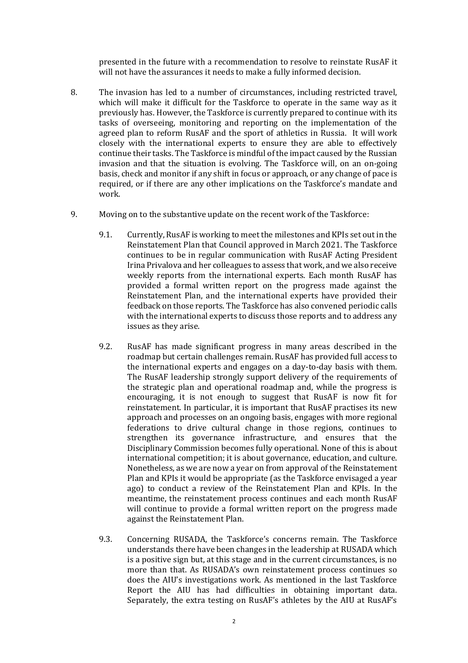presented in the future with a recommendation to resolve to reinstate RusAF it will not have the assurances it needs to make a fully informed decision.

- 8. The invasion has led to a number of circumstances, including restricted travel, which will make it difficult for the Taskforce to operate in the same way as it previously has. However, the Taskforce is currently prepared to continue with its tasks of overseeing, monitoring and reporting on the implementation of the agreed plan to reform RusAF and the sport of athletics in Russia. It will work closely with the international experts to ensure they are able to effectively continue their tasks. The Taskforce is mindful of the impact caused by the Russian invasion and that the situation is evolving. The Taskforce will, on an on-going basis, check and monitor if any shift in focus or approach, or any change of pace is required, or if there are any other implications on the Taskforce's mandate and work.
- 9. Moving on to the substantive update on the recent work of the Taskforce:
	- 9.1. Currently, RusAF is working to meet the milestones and KPIs set out in the Reinstatement Plan that Council approved in March 2021. The Taskforce continues to be in regular communication with RusAF Acting President Irina Privalova and her colleagues to assess that work, and we also receive weekly reports from the international experts. Each month RusAF has provided a formal written report on the progress made against the Reinstatement Plan, and the international experts have provided their feedback on those reports. The Taskforce has also convened periodic calls with the international experts to discuss those reports and to address any issues as they arise.
	- 9.2. RusAF has made significant progress in many areas described in the roadmap but certain challenges remain. RusAF has provided full access to the international experts and engages on a day-to-day basis with them. The RusAF leadership strongly support delivery of the requirements of the strategic plan and operational roadmap and, while the progress is encouraging, it is not enough to suggest that RusAF is now fit for reinstatement. In particular, it is important that RusAF practises its new approach and processes on an ongoing basis, engages with more regional federations to drive cultural change in those regions, continues to strengthen its governance infrastructure, and ensures that the Disciplinary Commission becomes fully operational. None of this is about international competition; it is about governance, education, and culture. Nonetheless, as we are now a year on from approval of the Reinstatement Plan and KPIs it would be appropriate (as the Taskforce envisaged a year ago) to conduct a review of the Reinstatement Plan and KPIs. In the meantime, the reinstatement process continues and each month RusAF will continue to provide a formal written report on the progress made against the Reinstatement Plan.
	- 9.3. Concerning RUSADA, the Taskforce's concerns remain. The Taskforce understands there have been changes in the leadership at RUSADA which is a positive sign but, at this stage and in the current circumstances, is no more than that. As RUSADA's own reinstatement process continues so does the AIU's investigations work. As mentioned in the last Taskforce Report the AIU has had difficulties in obtaining important data. Separately, the extra testing on RusAF's athletes by the AIU at RusAF's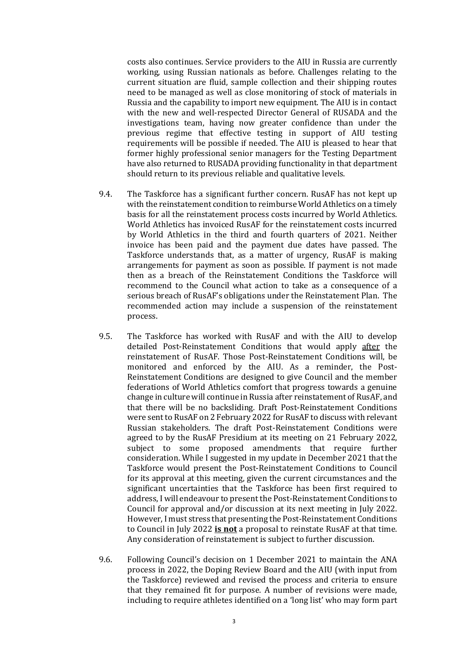costs also continues. Service providers to the AIU in Russia are currently working, using Russian nationals as before. Challenges relating to the current situation are fluid, sample collection and their shipping routes need to be managed as well as close monitoring of stock of materials in Russia and the capability to import new equipment. The AIU is in contact with the new and well-respected Director General of RUSADA and the investigations team, having now greater confidence than under the previous regime that effective testing in support of AIU testing requirements will be possible if needed. The AIU is pleased to hear that former highly professional senior managers for the Testing Department have also returned to RUSADA providing functionality in that department should return to its previous reliable and qualitative levels.

- 9.4. The Taskforce has a significant further concern. RusAF has not kept up with the reinstatement condition to reimburse World Athletics on a timely basis for all the reinstatement process costs incurred by World Athletics. World Athletics has invoiced RusAF for the reinstatement costs incurred by World Athletics in the third and fourth quarters of 2021. Neither invoice has been paid and the payment due dates have passed. The Taskforce understands that, as a matter of urgency, RusAF is making arrangements for payment as soon as possible. If payment is not made then as a breach of the Reinstatement Conditions the Taskforce will recommend to the Council what action to take as a consequence of a serious breach of RusAF's obligations under the Reinstatement Plan. The recommended action may include a suspension of the reinstatement process.
- 9.5. The Taskforce has worked with RusAF and with the AIU to develop detailed Post-Reinstatement Conditions that would apply after the reinstatement of RusAF. Those Post-Reinstatement Conditions will, be monitored and enforced by the AIU. As a reminder, the Post-Reinstatement Conditions are designed to give Council and the member federations of World Athletics comfort that progress towards a genuine change in culture will continue in Russia after reinstatement of RusAF, and that there will be no backsliding. Draft Post-Reinstatement Conditions were sent to RusAF on 2 February 2022 for RusAF to discuss with relevant Russian stakeholders. The draft Post-Reinstatement Conditions were agreed to by the RusAF Presidium at its meeting on 21 February 2022, subject to some proposed amendments that require further consideration. While I suggested in my update in December 2021 that the Taskforce would present the Post-Reinstatement Conditions to Council for its approval at this meeting, given the current circumstances and the significant uncertainties that the Taskforce has been first required to address, I will endeavour to present the Post-Reinstatement Conditions to Council for approval and/or discussion at its next meeting in July 2022. However, I must stress that presenting the Post-Reinstatement Conditions to Council in July 2022 **is not** a proposal to reinstate RusAF at that time. Any consideration of reinstatement is subject to further discussion.
- 9.6. Following Council's decision on 1 December 2021 to maintain the ANA process in 2022, the Doping Review Board and the AIU (with input from the Taskforce) reviewed and revised the process and criteria to ensure that they remained fit for purpose. A number of revisions were made, including to require athletes identified on a 'long list' who may form part